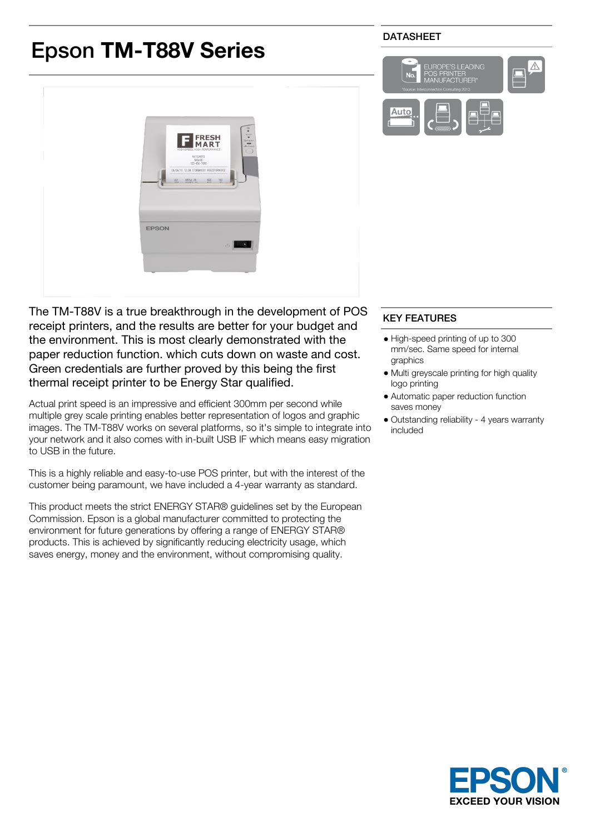# Epson **TM-T88V Series**

## DATASHEET





The TM-T88V is a true breakthrough in the development of POS receipt printers, and the results are better for your budget and the environment. This is most clearly demonstrated with the paper reduction function. which cuts down on waste and cost. Green credentials are further proved by this being the first thermal receipt printer to be Energy Star qualified.

Actual print speed is an impressive and efficient 300mm per second while multiple grey scale printing enables better representation of logos and graphic images. The TM-T88V works on several platforms, so it's simple to integrate into your network and it also comes with in-built USB IF which means easy migration to USB in the future.

This is a highly reliable and easy-to-use POS printer, but with the interest of the customer being paramount, we have included a 4-year warranty as standard.

This product meets the strict ENERGY STAR® guidelines set by the European Commission. Epson is a global manufacturer committed to protecting the environment for future generations by offering a range of ENERGY STAR® products. This is achieved by significantly reducing electricity usage, which saves energy, money and the environment, without compromising quality.

# KEY FEATURES

- High-speed printing of up to 300 mm/sec. Same speed for internal graphics
- Multi greyscale printing for high quality logo printing
- Automatic paper reduction function saves money
- Outstanding reliability 4 years warranty included